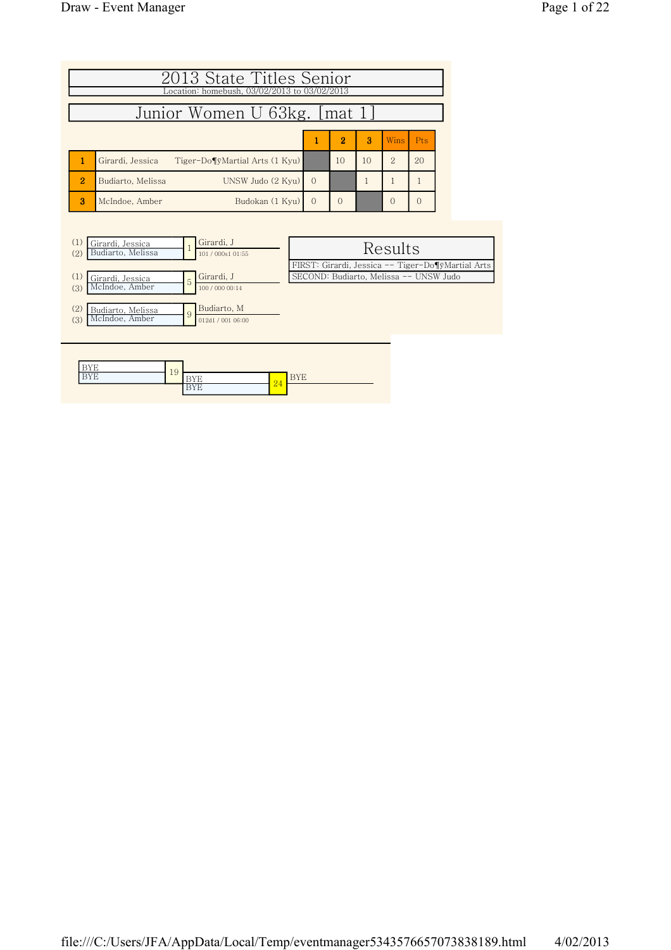|                | 2013 State Titles Senior<br>Location: homebush, 03/02/2013 to 03/02/2013 |          |                |    |                |            |
|----------------|--------------------------------------------------------------------------|----------|----------------|----|----------------|------------|
|                | Junior Women U 63kg. [mat 1]                                             |          |                |    |                |            |
|                |                                                                          |          | $\overline{2}$ | 3  | <b>Wins</b>    | <b>Pts</b> |
|                | Tiger-Do¶ÿMartial Arts (1 Kyu)<br>Girardi, Jessica                       |          | 10             | 10 | $\overline{2}$ | 20         |
| $\overline{2}$ | UNSW Judo (2 Kyu)<br>Budiarto, Melissa                                   | $\Omega$ |                |    |                |            |
| 3              | Budokan (1 Kyu)<br>McIndoe, Amber                                        | $\Omega$ | $\Omega$       |    | $\Omega$       | $\Omega$   |

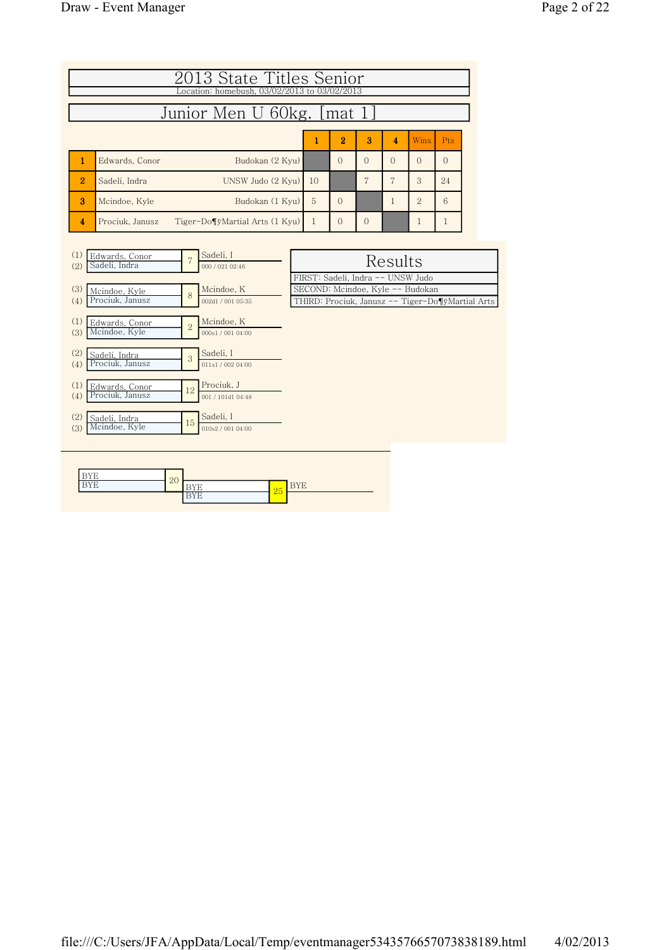| 2013 State Titles Senior<br>Location: homebush, 03/02/2013 to 03/02/2013 |                                                                                         |                                                      |  |              |                |                |                |                                                                       |              |  |  |
|--------------------------------------------------------------------------|-----------------------------------------------------------------------------------------|------------------------------------------------------|--|--------------|----------------|----------------|----------------|-----------------------------------------------------------------------|--------------|--|--|
|                                                                          |                                                                                         | Junior Men U 60kg. [mat 1]                           |  |              |                |                |                |                                                                       |              |  |  |
|                                                                          |                                                                                         |                                                      |  | 1            | $\overline{2}$ | 3              | 4              | Wins                                                                  | Pts          |  |  |
| Edwards, Conor<br>1                                                      |                                                                                         | Budokan (2 Kyu)                                      |  |              | $\Omega$       | $\Omega$       | $\Omega$       | $\Omega$                                                              | $\Omega$     |  |  |
| $\overline{2}$<br>Sadeli, Indra                                          |                                                                                         | UNSW Judo (2 Kyu)                                    |  | 10           |                | 7              | $\overline{7}$ | 3                                                                     | 24           |  |  |
| 3<br>Mcindoe, Kyle                                                       | Budokan (1 Kyu)                                                                         |                                                      |  |              |                |                | $\mathbf{1}$   | $\overline{2}$                                                        | 6            |  |  |
| Prociuk, Janusz<br>4                                                     |                                                                                         | Tiger-Do¶ÿMartial Arts (1 Kyu)                       |  | $\mathbf{1}$ | $\mathbf{0}$   | $\overline{0}$ |                | 1                                                                     | $\mathbf{1}$ |  |  |
| (2)<br>(3)<br>Mcindoe, Kyle                                              | Sadeli, I<br>Edwards, Conor<br>7<br>Sadeli, Indra<br>000 / 021 02:46<br>Mcindoe, K<br>8 |                                                      |  |              |                |                | Results        | FIRST: Sadeli, Indra -- UNSW Judo<br>SECOND: Mcindoe, Kyle -- Budokan |              |  |  |
| Prociuk, Janusz<br>(4)<br>(1)<br>Edwards, Conor<br>Mcindoe, Kyle<br>(3)  | $\overline{2}$                                                                          | 002d1 / 001 05:35<br>Mcindoe, K<br>000s1 / 001 04:00 |  |              |                |                |                | THIRD: Prociuk, Janusz -- Tiger-Do¶ÿMartial Arts                      |              |  |  |
| (2)<br>Sadeli, Indra<br>Prociuk, Janusz<br>(4)                           | 3                                                                                       | Sadeli, I<br>011s1 / 002 04:00                       |  |              |                |                |                |                                                                       |              |  |  |
| (1)<br>Edwards, Conor<br>Prociuk, Janusz<br>(4)                          | 12                                                                                      | Prociuk, J<br>001 / 101d1 04:48                      |  |              |                |                |                |                                                                       |              |  |  |
| (2)<br>Sadeli, Indra<br>Mcindoe, Kyle<br>(3)                             | 15                                                                                      | Sadeli, I<br>010s2 / 001 04:00                       |  |              |                |                |                |                                                                       |              |  |  |

|   | $\Omega$   |                     |     |                                         |
|---|------------|---------------------|-----|-----------------------------------------|
| . | $\Delta U$ | <b>.</b>            | 25' | $-$<br>$\overline{v}$ is $\overline{v}$ |
|   |            | --<br><u> ⊥ ⊥ ⊥</u> |     |                                         |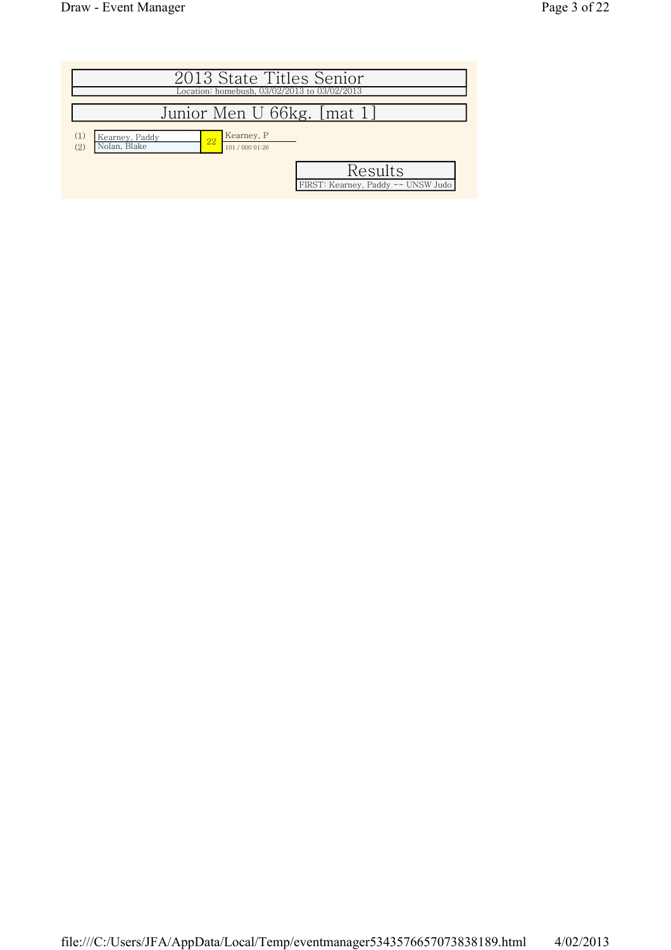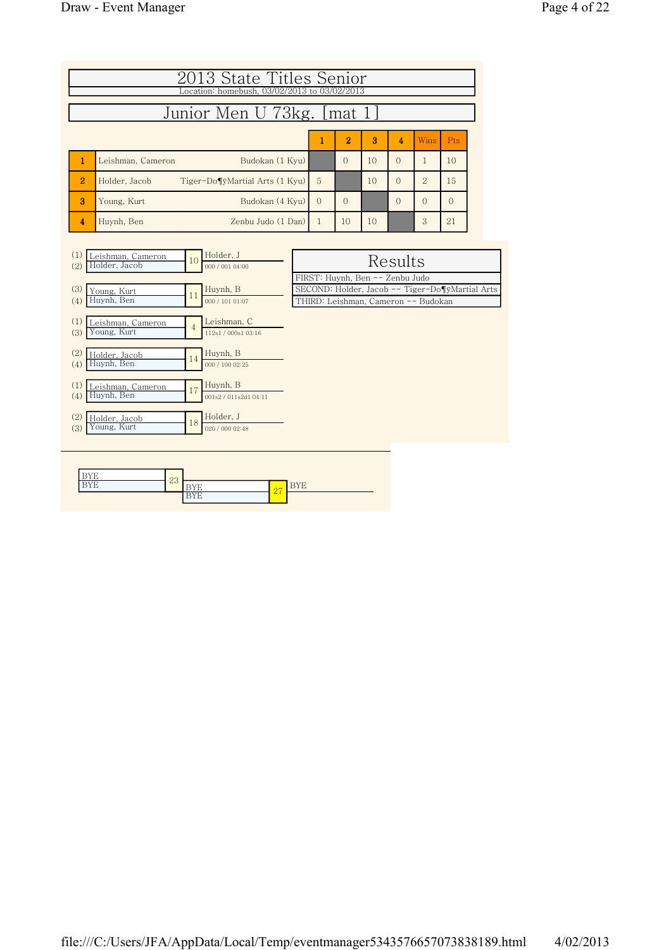|                | 2013 State Titles Senior<br>Location: homebush, 03/02/2013 to 03/02/2013<br>Junior Men U 73kg. [mat 1] |          |                |    |          |                |           |  |  |  |
|----------------|--------------------------------------------------------------------------------------------------------|----------|----------------|----|----------|----------------|-----------|--|--|--|
|                |                                                                                                        |          | $\overline{2}$ | 3  | 4        | <b>Wins</b>    | Pts.      |  |  |  |
|                | Budokan (1 Kyu)<br>Leishman, Cameron                                                                   |          | $\Omega$       | 10 | $\Omega$ |                | 10        |  |  |  |
| $\overline{2}$ | Tiger-Do¶yMartial Arts (1 Kyu)<br>Holder, Jacob                                                        | 5        |                | 10 | $\Omega$ | $\overline{2}$ | 15        |  |  |  |
| 3              | Budokan (4 Kyu)<br>Young, Kurt                                                                         | $\Omega$ | $\Omega$       |    | $\Omega$ | $\Omega$       | $\bigcap$ |  |  |  |
| 4              | Zenbu Judo (1 Dan)<br>Huynh, Ben                                                                       |          | 10             | 10 |          | 3              | 21        |  |  |  |

| (1)<br>Leishman, Cameron<br>Holder, Jacob<br>(2) | Holder, J<br>10<br>000 / 001 04:00 | Results                                         |
|--------------------------------------------------|------------------------------------|-------------------------------------------------|
|                                                  |                                    | FIRST: Huynh, Ben -- Zenbu Judo                 |
| (3)<br>Young, Kurt                               | Huynh, B                           | SECOND: Holder, Jacob -- Tiger-Do¶ÿMartial Arts |
| Huynh, Ben<br>(4)                                | 11<br>000 / 101 01:07              | THIRD: Leishman, Cameron -- Budokan             |
|                                                  |                                    |                                                 |
| (1)<br>eishman, Cameron<br>Young, Kurt           | Leishman, C<br>$\overline{4}$      |                                                 |
| (3)                                              | 112s1 / 000s1 03:16                |                                                 |
| (2)<br>Holder, Jacob                             | Huynh, B                           |                                                 |
| Huynh, Ben<br>(4)                                | 14<br>000 / 100 02:25              |                                                 |
|                                                  |                                    |                                                 |
| (1)<br>eishman, Cameron                          | Huynh, B<br>17                     |                                                 |
| Huynh, Ben<br>(4)                                | 001s2 / 011s2d1 04:11              |                                                 |
| (2)                                              | Holder, J                          |                                                 |
| Holder, Jacob<br>Young, Kurt<br>(3)              | 18<br>020 / 000 02:48              |                                                 |
|                                                  |                                    |                                                 |
|                                                  |                                    |                                                 |

|  | $\Omega$<br>٠ |                 |                          |          |
|--|---------------|-----------------|--------------------------|----------|
|  | $\Delta$      |                 | $\overline{\phantom{a}}$ | <u>.</u> |
|  |               | . .<br><b>.</b> | $\overline{\omega}$ 1    |          |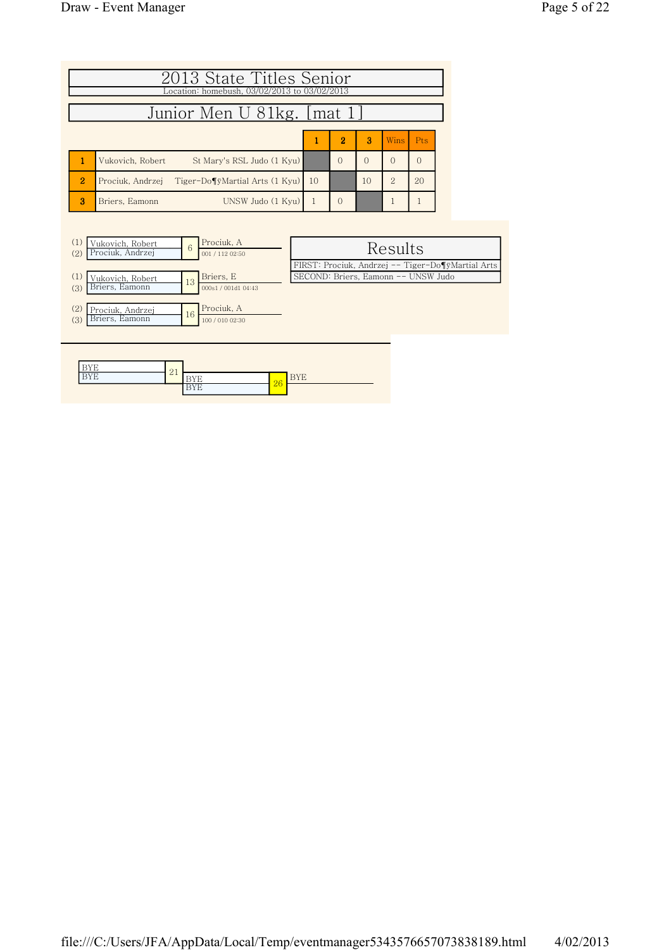|                | 2013 State Titles Senior                        |    |                |          |               |       |
|----------------|-------------------------------------------------|----|----------------|----------|---------------|-------|
|                | Location: homebush, 03/02/2013 to 03/02/2013    |    |                |          |               |       |
|                | Junior Men U 81kg. [mat 1]                      |    |                |          |               |       |
|                |                                                 |    |                |          |               |       |
|                |                                                 |    | $\overline{2}$ | 3        | <b>Wins</b>   | - Pts |
|                | St Mary's RSL Judo (1 Kyu)<br>Vukovich, Robert  |    | $\Omega$       | $\Omega$ |               |       |
| $\overline{2}$ | Prociuk, Andrzei Tiger-Do¶ÿMartial Arts (1 Kyu) | 10 |                | 10       | $\mathcal{D}$ | 20    |
| я              | UNSW Judo (1 Kyu)<br>Briers. Eamonn             |    | $\Omega$       |          |               |       |



| $- - -$  | 01       |     |    |     |
|----------|----------|-----|----|-----|
| ---<br>. | $\sim$ 1 | -   | 26 | $-$ |
|          |          | . . |    |     |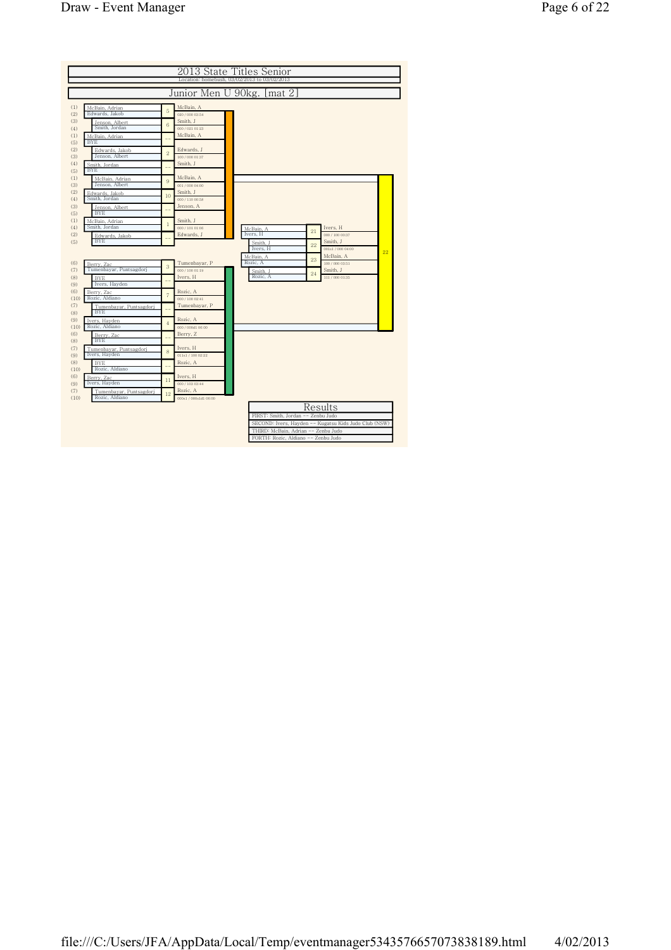|                    |                                          |                |                                  | 2013 State Titles Senior<br>Location: homebush, 03/02/2013 to 03/02/2013 |    |                                        |    |
|--------------------|------------------------------------------|----------------|----------------------------------|--------------------------------------------------------------------------|----|----------------------------------------|----|
|                    |                                          |                |                                  | Junior Men U 90kg. [mat 2]                                               |    |                                        |    |
|                    |                                          |                |                                  |                                                                          |    |                                        |    |
| (1)<br>(2)         | McBain, Adrian<br>Edwards, Jakob         | 5              | McBain, A<br>020 / 000 03:54     |                                                                          |    |                                        |    |
| (3)<br>(4)         | Jenson, Albert<br>Smith, Jordan          | 6              | Smith, J<br>000 / 021 01:23      |                                                                          |    |                                        |    |
| (1)<br>(5)         | McBain, Adrian<br><b>BYE</b>             |                | McBain, A                        |                                                                          |    |                                        |    |
| (2)<br>(3)         | Edwards, Jakob<br>Jenson, Albert         | $\overline{2}$ | Edwards, J<br>100 / 000 01:37    |                                                                          |    |                                        |    |
| (4)<br>(5)         | Smith, Jordan<br><b>BYE</b>              |                | Smith, J                         |                                                                          |    |                                        |    |
| (1)<br>(3)         | McBain, Adrian<br>Jenson, Albert         | 9              | McBain, A<br>001 / 000 04:00     |                                                                          |    |                                        |    |
| (2)<br>(4)         | Edwards, Jakob<br>Smith, Jordan          | 10             | Smith, J<br>000 / 110 00:58      |                                                                          |    |                                        |    |
| (3)<br>(5)         | Jenson, Albert<br><b>BYE</b>             |                | Jenson, A                        |                                                                          |    |                                        |    |
| (1)<br>(4)         | McBain, Adrian<br>Smith, Jordan          | $\mathbf{1}$   | Smith, J<br>000 / 101 01:06      |                                                                          |    | Ivers, H                               |    |
| (2)<br>(5)         | Edwards, Jakob<br><b>BYE</b>             |                | Edwards, J                       | McBain, A<br>Ivers, H                                                    | 21 | 000 / 100 00:37<br>Smith, J            |    |
|                    |                                          |                |                                  | Smith. J<br>Ivers, H                                                     | 22 | 001s1 / 000 04:00                      | 22 |
| (6)<br>(7)         | Berry, Zac<br>Tumenbayar, Puntsagdorj    | 3              | Tumenbayar, P<br>000 / 100 01:19 | McBain. A<br>Rozic, A                                                    | 23 | McBain, A<br>100/000 03:51<br>Smith, J |    |
| (8)<br>(9)         | BYE.<br>Ivers, Hayden                    |                | Ivers, H                         | Smith, J<br>Rozic, A                                                     | 24 | 111/000 01:35                          |    |
| (6)<br>(10)        | Berry, Zac<br>Rozic, Aldiano             | $\overline{7}$ | Rozic, A<br>000 / 100 02:41      |                                                                          |    |                                        |    |
| (7)                | Tumenbayar, Puntsagdorj<br><b>BYE</b>    |                | Tumenbayar, P                    |                                                                          |    |                                        |    |
| (8)<br>(9)         | Ivers, Hayden<br>Rozic, Aldiano          | $\overline{4}$ | Rozic, A<br>000 / 000d1 06:00    |                                                                          |    |                                        |    |
| (10)<br>(6)<br>(8) | Berry, Zac<br><b>BYE</b>                 |                | Berry, Z                         |                                                                          |    |                                        |    |
| (7)                | Tumenbayar, Puntsagdorj<br>Ivers, Hayden | 8              | Ivers, H<br>011s1 / 100 02:22    |                                                                          |    |                                        |    |
| (9)<br>(8)         | <b>BYE</b><br>Rozic, Aldiano             |                | Rozic, A                         |                                                                          |    |                                        |    |
| (10)<br>(6)        | Berry, Zac<br>Ivers, Hayden              | 11             | Ivers, H<br>000 / 103 03:44      |                                                                          |    |                                        |    |
| (9)<br>(7)         | Tumenbayar, Puntsagdorj                  | 12             | Rozic, A                         |                                                                          |    |                                        |    |
| (10)               | Rozic, Aldiano                           |                | 000s1/000s1d106:00               |                                                                          |    | Results                                |    |
|                    |                                          |                |                                  | FIRST: Smith, Jordan -- Zenbu Judo                                       |    |                                        |    |
|                    |                                          |                |                                  | SECOND: Ivers, Hayden -- Kugatsu Kids Judo Club (NSW)                    |    |                                        |    |
|                    |                                          |                |                                  | THIRD: McBain, Adrian -- Zenbu Judo                                      |    |                                        |    |
|                    |                                          |                |                                  | FORTH: Rozic. Aldiano -- Zenbu Judo                                      |    |                                        |    |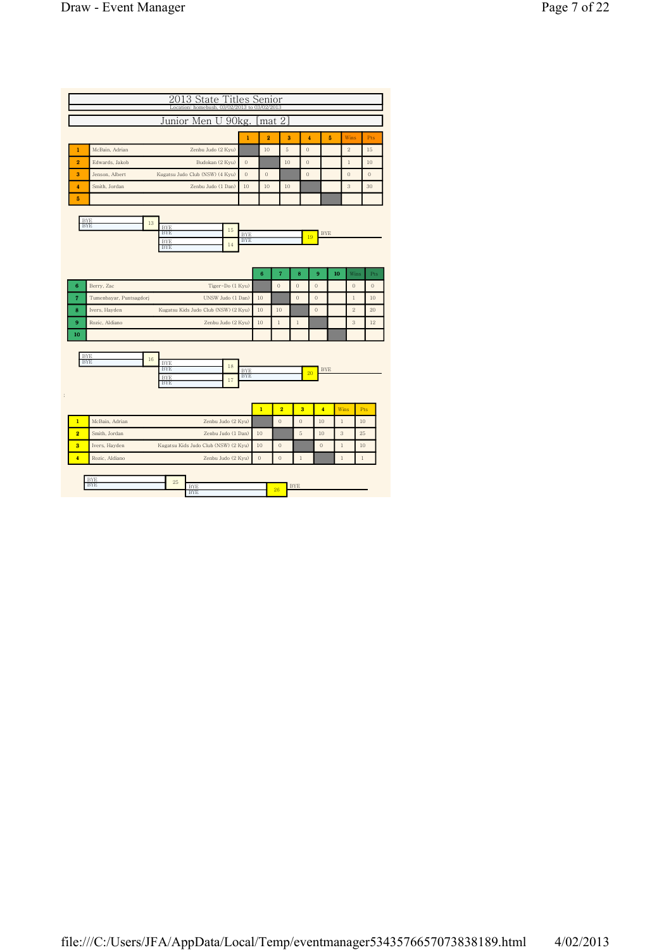|                               | Junior Men U 90kg.                                                         |                          |                | mat 2                      |                |                  |             |                  |          |
|-------------------------------|----------------------------------------------------------------------------|--------------------------|----------------|----------------------------|----------------|------------------|-------------|------------------|----------|
|                               |                                                                            | $\mathbf{1}$             | $\overline{2}$ | 3                          | 4              |                  | 5           | Wins             | Pts      |
| 1                             | McBain, Adrian<br>Zenbu Judo (2 Kyu)                                       |                          | 10             | $\scriptstyle\rm 5$        | $\theta$       |                  |             | $\,2$            | 15       |
| 2                             | Edwards, Jakob<br>Budokan (2 Kyu)                                          | $\theta$                 |                | 10                         | $\theta$       |                  |             | $\,1$            | 10       |
| 3                             | Jenson, Albert<br>Kugatsu Judo Club (NSW) (4 Kyu)                          | $\theta$                 | $\Omega$       |                            | $\theta$       |                  |             | $\theta$         | $\Omega$ |
| 4                             | Smith, Jordan<br>Zenbu Judo (1 Dan)                                        | 10                       | 10             | 10                         |                |                  |             | 3                | 30       |
| 5<br><b>BYE</b><br><b>BYE</b> | 13<br><b>BYF</b><br>15<br><b>BYE</b><br><b>BYE</b><br>14<br><b>BYE</b>     | <b>BYE</b><br><b>BYE</b> |                |                            |                | <b>BYE</b><br>19 |             |                  |          |
| 6                             | Berry, Zac<br>Tiger-Do (1 Kyu)                                             |                          | 6              | $\overline{7}$<br>$\Omega$ | 8<br>$\theta$  | 9<br>$\theta$    | 10          | Wins<br>$\theta$ | Pts      |
| $\overline{7}$                | Tumenbayar, Puntsagdorj<br>UNSW Judo (1 Dan)                               |                          | 10             |                            | $\overline{0}$ | $\theta$         |             | $\,1$            | 10       |
| 8                             | Ivers, Hayden<br>Kugatsu Kids Judo Club (NSW) (2 Kyu)                      |                          | 10             | 10                         |                | $\mathbf{0}$     |             | $\,2$            | 20       |
| 9<br>10                       | Rozic, Aldiano<br>Zenbu Judo (2 Kyu)                                       |                          | 10             | $\,1$                      | $\,1$          |                  |             | 3                | 12       |
| <b>BYE</b><br><b>BYE</b>      | 16<br><b>BYE</b><br>18<br><b>BYE</b><br><b>BYE</b><br>$17\,$<br><b>BYE</b> | <b>BYE</b><br><b>BYE</b> |                |                            |                | <b>BYE</b><br>20 |             |                  |          |
|                               |                                                                            |                          | $\mathbf{1}$   | $\overline{\mathbf{2}}$    | 3              | $\overline{4}$   | Wins        |                  | Pts      |
| $\mathbf{1}$                  | McBain, Adrian<br>Zenbu Judo (2 Kyu)                                       |                          |                | $\mathbf{0}$               | $\mathbf{0}$   | 10               | $\mathbf 1$ | 10               |          |
|                               | Smith, Jordan<br>Zenbu Judo (1 Dan)                                        |                          | 10             |                            | 5              | 10               | 3           | 25               |          |
| $\overline{2}$                | Ivers, Hayden<br>Kugatsu Kids Judo Club (NSW) (2 Kyu)                      |                          | 10             | $\mathbf{0}$               |                | $\theta$         | $\,1$       | 10               |          |
| 3                             |                                                                            |                          |                |                            |                |                  |             |                  |          |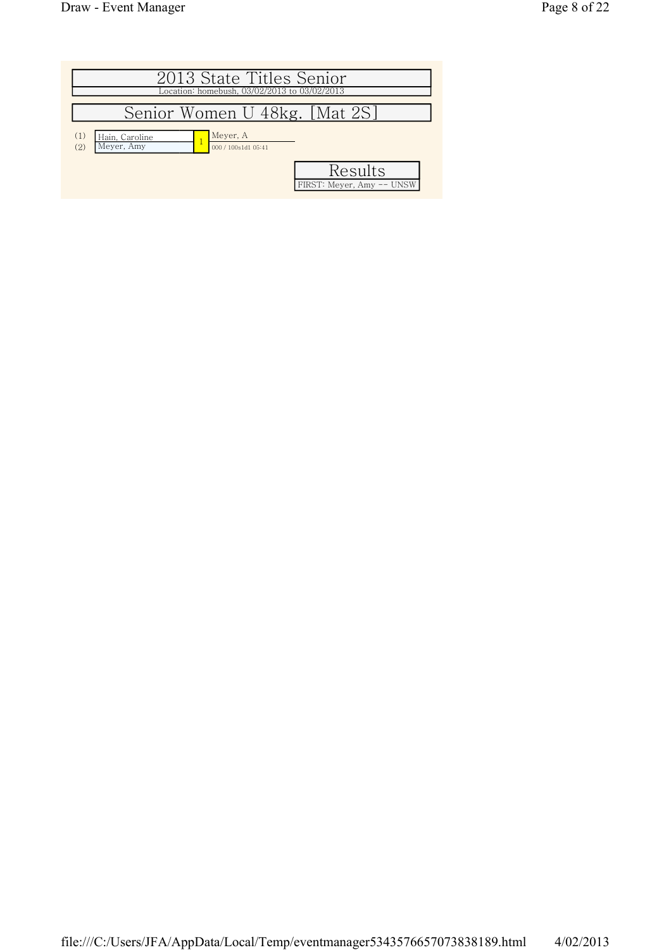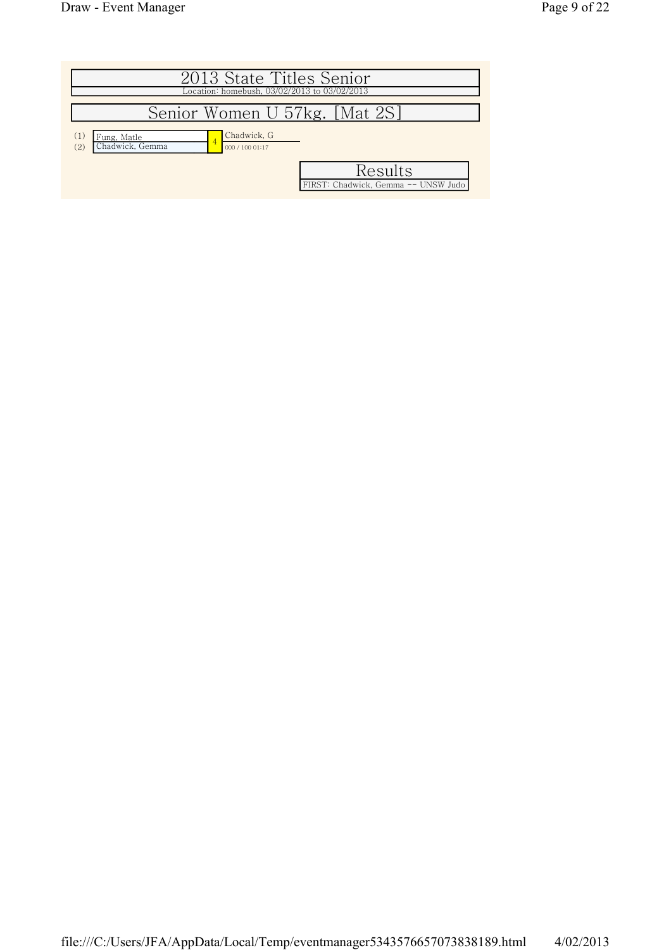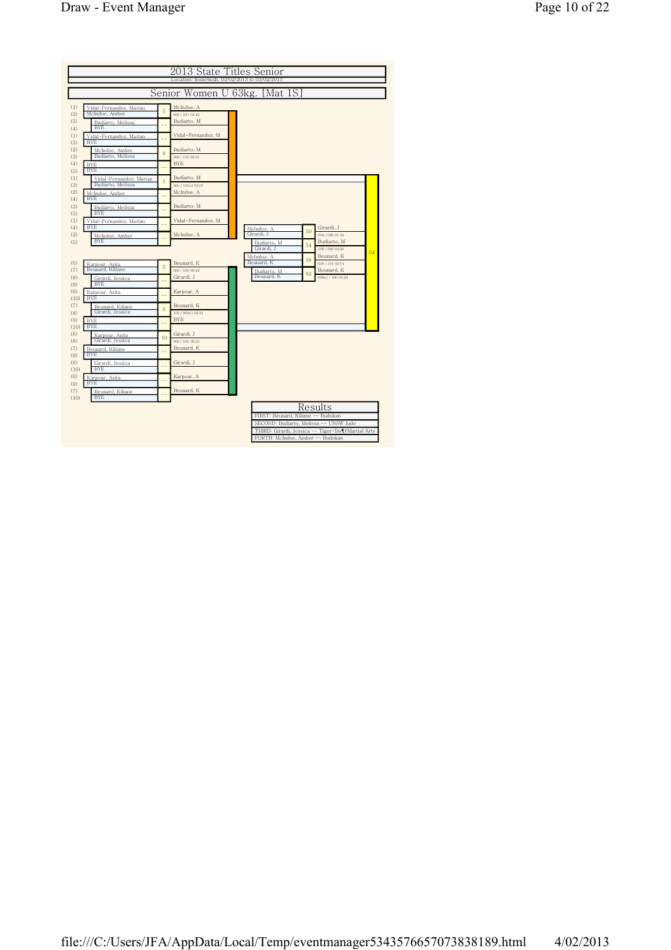|                                              |                | 2013 State Titles Senior                     |                                    |    |                                                   |    |
|----------------------------------------------|----------------|----------------------------------------------|------------------------------------|----|---------------------------------------------------|----|
|                                              |                | Location: homebush, 03/02/2013 to 03/02/2013 |                                    |    |                                                   |    |
|                                              |                | Senior Women U 63kg.                         | [Mat 1S]                           |    |                                                   |    |
|                                              |                |                                              |                                    |    |                                                   |    |
| Vidal-Fernandez, Marian<br>McIndoe, Amber    | 5              | McIndoe, A<br>000 / 101 04:42                |                                    |    |                                                   |    |
| Budiarto, Melissa<br><b>BYE</b>              |                | Budiarto, M                                  |                                    |    |                                                   |    |
| Vidal-Fernandez, Marian<br><b>BYE</b>        |                | Vidal-Fernandez, M                           |                                    |    |                                                   |    |
| McIndoe, Amber<br>Budiarto, Melissa          | 9              | Budiarto, M<br>000 / 110 02:24               |                                    |    |                                                   |    |
| <b>BYE</b><br><b>BYE</b>                     |                | <b>BYE</b>                                   |                                    |    |                                                   |    |
| Vidal-Fernandez, Marian<br>Budiarto, Melissa | $\mathbf{1}$   | Budiarto, M<br>000 / 100s1 03:07             |                                    |    |                                                   |    |
| McIndoe, Amber<br><b>BYE</b>                 |                | McIndoe, A                                   |                                    |    |                                                   |    |
| Budiarto, Melissa                            |                | Budiarto, M                                  |                                    |    |                                                   |    |
| <b>BYE</b><br>Vidal-Fernandez, Marian        |                | Vidal-Fernandez, M                           |                                    |    |                                                   |    |
| <b>BYE</b><br>McIndoe, Amber                 |                | McIndoe, A                                   | McIndoe, A<br>Girardi. J           | 50 | Girardi, J<br>000 / 020 01:32                     |    |
| <b>BYE</b>                                   |                |                                              | Budiarto, M<br>Girardi. J          | 54 | Budiarto, M<br>100 / 000 02:26                    | 54 |
| Karpour, Azita                               | $\overline{2}$ | Beunard, K                                   | McIndoe, A<br>Beunard, K           | 58 | Beunard, K<br>000 / 101 02:14                     |    |
| Beunard, Kiliane<br>Girardi, Jessica         |                | 000 / 100 00:22<br>Girardi, J                | Budiarto, M<br>Beunard, K          | 62 | Beunard, K<br>000s1 / 100 04:24                   |    |
| <b>BYE</b><br>Karpour, Azita                 |                | Karpour, A                                   |                                    |    |                                                   |    |
| <b>BYE</b><br>Beunard, Kiliane               |                | Beunard, K                                   |                                    |    |                                                   |    |
| Girardi, Jessica<br><b>BYE</b>               | 6              | 101/000s102-21<br><b>BYE</b>                 |                                    |    |                                                   |    |
| <b>BYE</b><br>(10)<br>Karpour, Azita         |                | Girardi, J                                   |                                    |    |                                                   |    |
| Girardi, Jessica<br>Beunard, Kiliane         | 10             | 000 / 100 00:23<br>Beunard, K                |                                    |    |                                                   |    |
| <b>BYE</b>                                   |                | Girardi, J                                   |                                    |    |                                                   |    |
| Girardi, Jessica<br><b>BYE</b><br>(10)       |                | Karpour, A                                   |                                    |    |                                                   |    |
| Karpour, Azita<br><b>BYE</b>                 |                |                                              |                                    |    |                                                   |    |
| Beunard, Kiliane<br><b>BYE</b><br>(10)       | $-$            | Beunard, K                                   |                                    |    |                                                   |    |
|                                              |                |                                              |                                    |    | Results                                           |    |
|                                              |                |                                              | FIRST: Beunard, Kiliane -- Budokan |    | SECOND: Budiarto, Melissa -- UNSW Judo            |    |
|                                              |                |                                              | FORTH: McIndoe, Amber -- Budokan   |    | THIRD: Girardi, Jessica -- Tiger-Do¶yMartial Arts |    |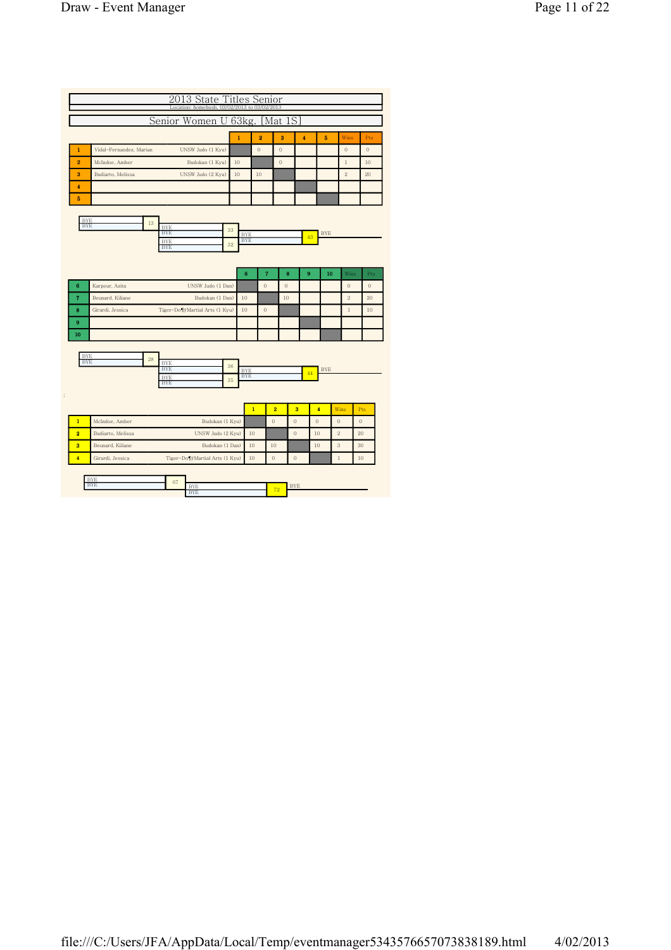|                                |                          | 2013 State Titles Senior<br>Location: homebush, 03/02/2013 to 03/02/2013 |              |                          |                |                |                         |                  |                |              |
|--------------------------------|--------------------------|--------------------------------------------------------------------------|--------------|--------------------------|----------------|----------------|-------------------------|------------------|----------------|--------------|
|                                |                          | Senior Women U 63kg.                                                     |              |                          |                | [Mat 1S]       |                         |                  |                |              |
|                                |                          |                                                                          | $\mathbf{1}$ |                          | $\overline{2}$ | 3              | 4                       | 5                | Wins           | Pts          |
| 1                              | Vidal-Fernandez, Marian  | UNSW Judo (1 Kyu)                                                        |              |                          | $\mathbf{0}$   | $\mathbf{0}$   |                         |                  | $\mathbf{0}$   | $\theta$     |
| $\overline{2}$                 | McIndoe, Amber           | Budokan (1 Kyu)                                                          | 10           |                          |                | $\mathbf{0}$   |                         |                  | $\,1$          | 10           |
| 3                              | Budiarto, Melissa        | UNSW Judo (2 Kyu)                                                        | 10           |                          | 10             |                |                         |                  | $\overline{2}$ | 20           |
| 4                              |                          |                                                                          |              |                          |                |                |                         |                  |                |              |
| 5                              |                          |                                                                          |              |                          |                |                |                         |                  |                |              |
| <b>BYE</b><br><b>BYE</b>       | 13                       | <b>BYE</b><br><b>BYE</b><br><b>BYE</b><br><b>BYE</b>                     | 33<br>32     | <b>BYE</b><br><b>BYE</b> |                |                |                         | <b>BYE</b><br>43 |                |              |
|                                |                          |                                                                          |              | $6\phantom{1}6$          | $\overline{7}$ | 8              | 9                       |                  | 10             | Wins<br>Pts  |
| 6                              | Karpour, Azita           | UNSW Judo (1 Dan)                                                        |              |                          | $\theta$       | $\mathbf{0}$   |                         |                  | $\theta$       | $\mathbf{0}$ |
| $\overline{7}$                 | Beunard, Kiliane         | Budokan (1 Dan)                                                          |              | 10                       |                | 10             |                         |                  | $\overline{2}$ | 20           |
| 8                              | Girardi, Jessica         | Tiger-Do¶yMartial Arts (1 Kyu)                                           |              | 10                       | $\mathbf{0}$   |                |                         |                  | $\,1$          | 10           |
| 9                              |                          |                                                                          |              |                          |                |                |                         |                  |                |              |
| 10<br><b>BYE</b><br><b>BYE</b> | 28                       | <b>BYE</b>                                                               | 36           |                          |                |                |                         |                  |                |              |
|                                |                          | <b>BYE</b><br><b>BYE</b>                                                 |              | <b>BYE</b><br><b>BYE</b> |                |                |                         | <b>BYE</b><br>44 |                |              |
|                                |                          | <b>BYE</b>                                                               | 35           |                          |                |                |                         |                  |                |              |
|                                |                          |                                                                          |              | $\mathbf{1}$             |                | $\overline{2}$ | $\overline{\mathbf{3}}$ | $\overline{4}$   | Wins           | Pts          |
| $\mathbf{1}$                   | McIndoe, Amber           | Budokan (1 Kyu)                                                          |              |                          |                | $\mathbf{0}$   | $\mathbf{0}$            | $\theta$         | $\theta$       | $\mathbf{0}$ |
| $\overline{2}$                 | Budiarto, Melissa        | UNSW Judo (2 Kyu)                                                        |              | 10                       |                |                | $\mathbf{0}$            | 10               | $\,2$          | 20           |
| $\overline{\mathbf{3}}$        | Beunard, Kiliane         | Budokan (1 Dan)                                                          |              | 10                       |                | 10             |                         | 10               | $\sqrt{3}$     | 30           |
| $\overline{4}$                 | Girardi, Jessica         | Tiger-Do¶yMartial Arts (1 Kyu)                                           |              | 10                       |                | $\Omega$       | $\mathbf{0}$            |                  | $\mathbf{1}$   | 10           |
|                                | <b>BYE</b><br><b>BYE</b> | 67<br><b>BYE</b><br><b>BYE</b>                                           |              |                          |                | 72             | <b>BYE</b>              |                  |                |              |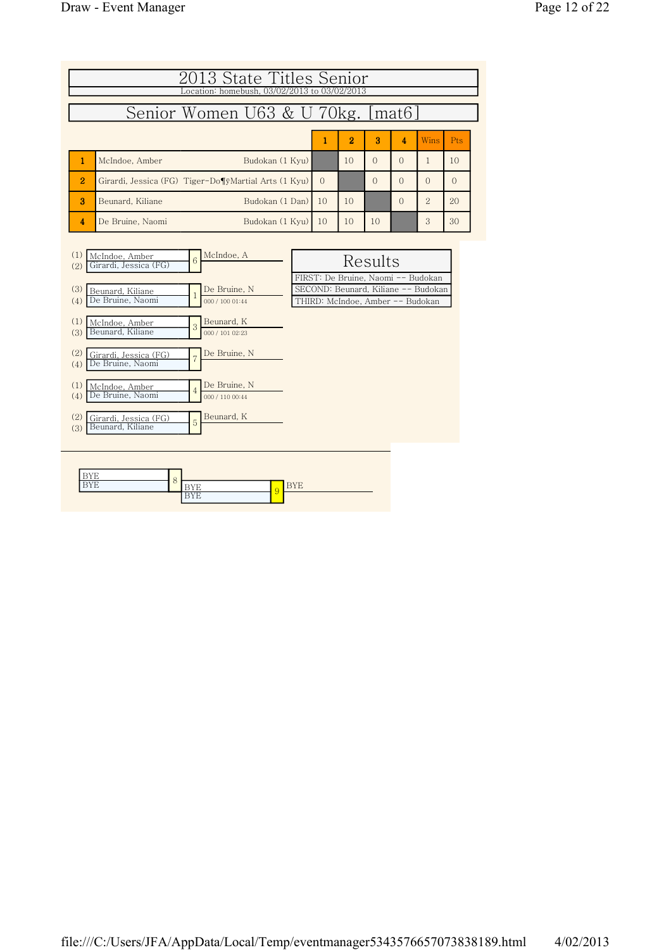|                                   | 2013 State Titles Senior<br>Location: homebush, 03/02/2013 to 03/02/2013 |          |                |              |                |                |          |  |  |  |  |  |
|-----------------------------------|--------------------------------------------------------------------------|----------|----------------|--------------|----------------|----------------|----------|--|--|--|--|--|
| Senior Women U63 & U 70kg. [mat6] |                                                                          |          |                |              |                |                |          |  |  |  |  |  |
|                                   |                                                                          | 1        | $\overline{2}$ | $\mathbf{a}$ | $\overline{4}$ | Wins           | Pts      |  |  |  |  |  |
|                                   | Budokan (1 Kyu)<br>McIndoe, Amber                                        |          | 10             | $\Omega$     | $\Omega$       |                | 10       |  |  |  |  |  |
| $\overline{2}$                    | Girardi, Jessica (FG) Tiger-Do¶ÿMartial Arts (1 Kyu)                     | $\Omega$ |                | $\Omega$     | $\Omega$       | $\Omega$       | $\Omega$ |  |  |  |  |  |
| я                                 | Budokan (1 Dan)<br>Beunard, Kiliane                                      | 10       | 10             |              | $\Omega$       | $\overline{2}$ | 20       |  |  |  |  |  |
| 4                                 | Budokan (1 Kvu)<br>De Bruine, Naomi                                      | 10       | 10             | 10           |                | 3              | 30       |  |  |  |  |  |

| (1)<br>McIndoe, Amber<br>$6\overline{6}$<br>Girardi, Jessica (FG)<br>(2) | McIndoe, A                      | Results                                                                                                       |
|--------------------------------------------------------------------------|---------------------------------|---------------------------------------------------------------------------------------------------------------|
| (3)<br>Beunard, Kiliane<br>De Bruine, Naomi<br>(4)                       | De Bruine, N<br>000 / 100 01:44 | FIRST: De Bruine, Naomi -- Budokan<br>SECOND: Beunard, Kiliane -- Budokan<br>THIRD: McIndoe, Amber -- Budokan |
| (1)<br>McIndoe, Amber<br>3<br>Beunard, Kiliane<br>(3)                    | Beunard, K<br>000 / 101 02:23   |                                                                                                               |
| (2)<br>Girardi, Jessica (FG)<br>De Bruine, Naomi<br>(4)                  | De Bruine, N                    |                                                                                                               |
| (1)<br>McIndoe, Amber<br>$\overline{4}$<br>De Bruine, Naomi<br>(4)       | De Bruine, N<br>000 / 110 00:44 |                                                                                                               |
| (2)<br>Girardi, Jessica (FG)<br>5<br>Beunard, Kiliane<br>(3)             | Beunard, K                      |                                                                                                               |
|                                                                          |                                 |                                                                                                               |

|   | O |               |         |  |
|---|---|---------------|---------|--|
| - | U |               |         |  |
|   |   | -<br><b>.</b> | ×.<br>ಀ |  |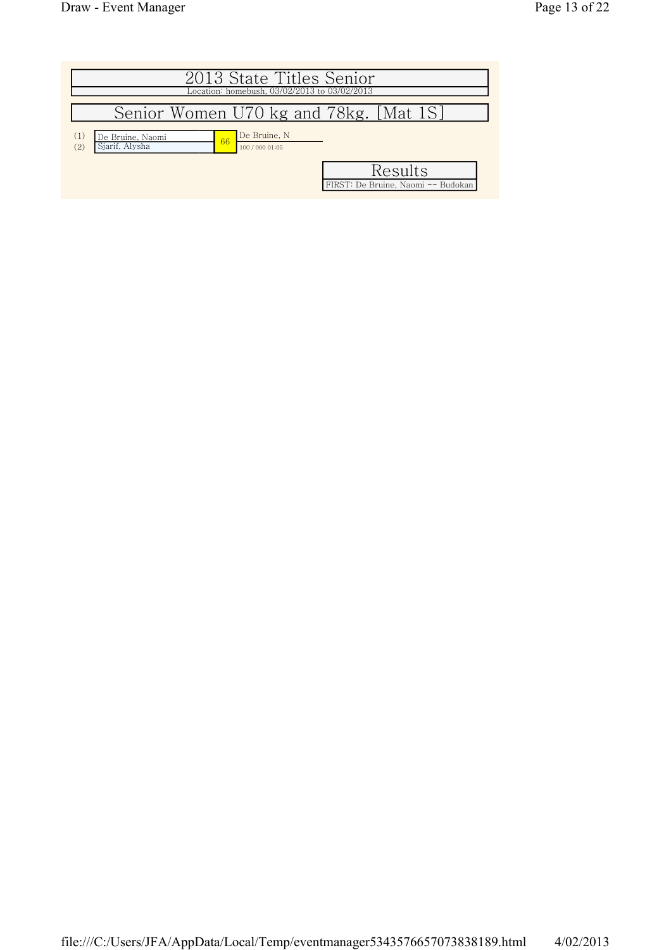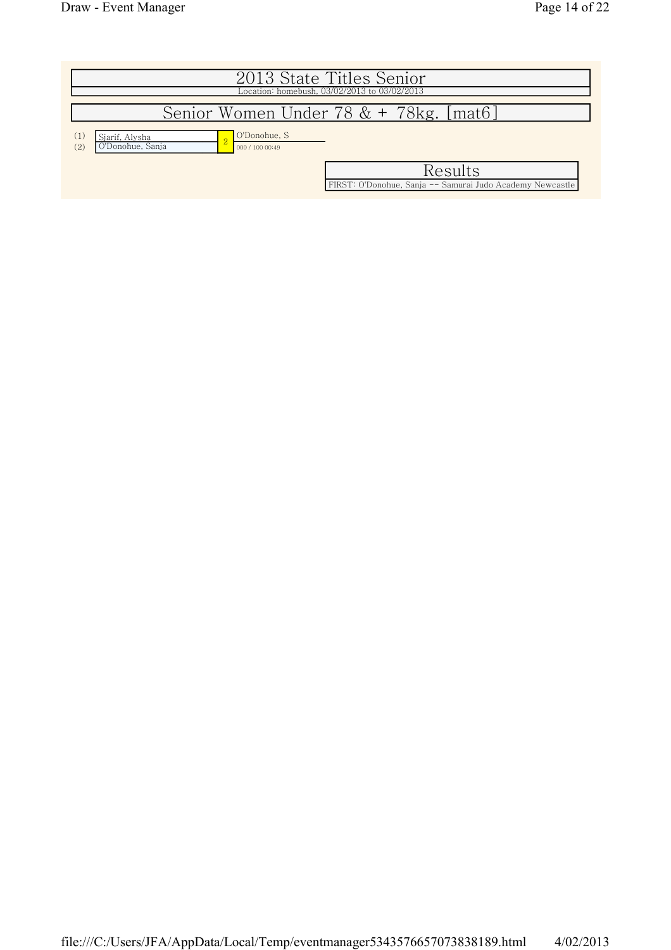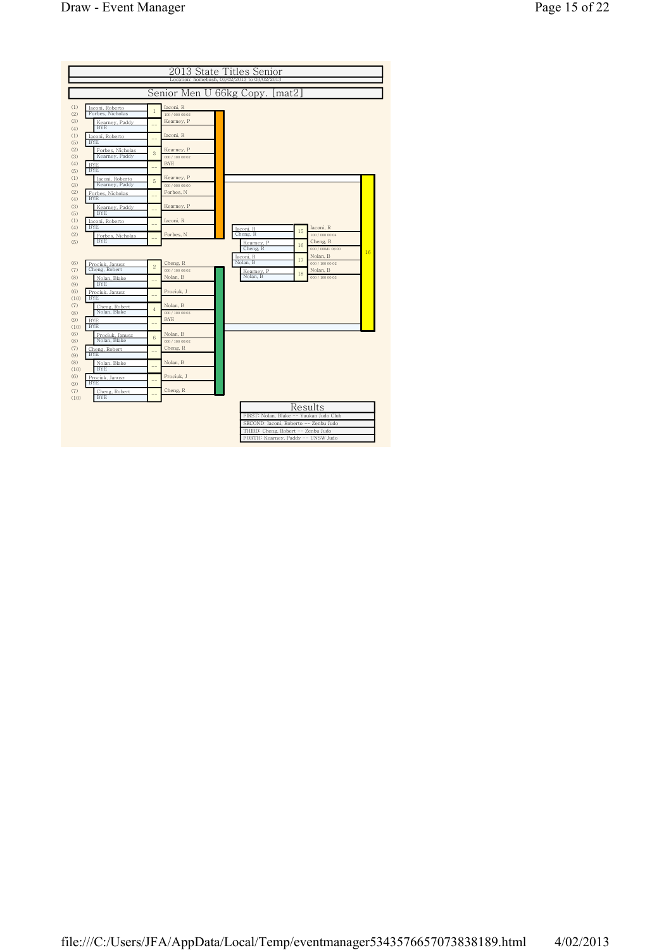|                   |                                                  |                |                                            | 2013 State Titles Senior                                                 |    |                                         |    |
|-------------------|--------------------------------------------------|----------------|--------------------------------------------|--------------------------------------------------------------------------|----|-----------------------------------------|----|
|                   |                                                  |                |                                            | Location: homebush, 03/02/2013 to 03/02/2013                             |    |                                         |    |
|                   |                                                  |                | Senior Men U 66kg Copy.                    | [mat2]                                                                   |    |                                         |    |
| (1)<br>(2)        | Iaconi, Roberto<br>Forbes, Nicholas              | $\overline{1}$ | Iaconi, R<br>100 / 000 00:02               |                                                                          |    |                                         |    |
| (3)<br>(4)        | Kearney, Paddy<br><b>BYE</b>                     |                | Kearney, P                                 |                                                                          |    |                                         |    |
| (1)<br>(5)        | Iaconi, Roberto<br><b>BYE</b>                    |                | Iaconi, R                                  |                                                                          |    |                                         |    |
| (2)<br>(3)        | Forbes, Nicholas<br>Kearney, Paddy               | 3              | Kearney, P<br>000 / 100 00:02              |                                                                          |    |                                         |    |
| (4)<br>(5)        | <b>BYE</b><br><b>BYE</b>                         |                | <b>BYE</b>                                 |                                                                          |    |                                         |    |
| (1)<br>(3)<br>(2) | Iaconi, Roberto<br>Kearney, Paddy                | 5              | Kearney, P<br>000 / 000 00:00<br>Forbes, N |                                                                          |    |                                         |    |
| (4)<br>(3)        | Forbes, Nicholas<br><b>BYE</b><br>Kearney, Paddy |                | Kearney, P                                 |                                                                          |    |                                         |    |
| (5)<br>(1)        | <b>BYE</b><br>Iaconi, Roberto                    |                | Iaconi, R                                  |                                                                          |    |                                         |    |
| (4)<br>(2)        | <b>BYE</b><br>Forbes, Nicholas                   |                | Forbes, N                                  | Iaconi, R<br>Cheng, R                                                    | 15 | Iaconi, R<br>100 / 000 00:04            |    |
| (5)               | <b>BYE</b>                                       |                |                                            | Kearney, P<br>Cheng, R                                                   | 16 | Cheng, R<br>000 / 000d1 08:00           | 16 |
| (6)<br>(7)        | Prociuk, Janusz<br>Cheng, Robert                 | $\overline{2}$ | Cheng, R<br>000 / 100 00:02                | Iaconi, R<br>Nolan, B<br>Kearney, P                                      | 17 | Nolan, B<br>000 / 100 00:02<br>Nolan, B |    |
| (8)<br>(9)        | Nolan, Blake<br><b>BYE</b>                       |                | Nolan, B                                   | Nolan, B                                                                 | 18 | 000 / 100 00:03                         |    |
| (6)<br>(10)       | Prociuk, Janusz<br><b>BYE</b>                    |                | Prociuk, J                                 |                                                                          |    |                                         |    |
| (7)<br>(8)        | Cheng, Robert<br>Nolan, Blake                    | $\overline{4}$ | Nolan, B<br>000 / 100 00:03                |                                                                          |    |                                         |    |
| (9)<br>(10)       | <b>BYE</b><br><b>BYE</b>                         |                | <b>BYE</b>                                 |                                                                          |    |                                         |    |
| (6)<br>(8)<br>(7) | Prociuk, Janusz<br>Nolan, Blake<br>Cheng, Robert | 6              | Nolan, B<br>000 / 100 00:02<br>Cheng, R    |                                                                          |    |                                         |    |
| (9)<br>(8)        | <b>BYE</b><br>Nolan, Blake                       |                | Nolan, B                                   |                                                                          |    |                                         |    |
| (10)<br>(6)       | <b>BYE</b><br>Prociuk, Janusz                    |                | Prociuk, J                                 |                                                                          |    |                                         |    |
| (9)<br>(7)        | <b>BYE</b><br>Cheng, Robert                      |                | Cheng, R                                   |                                                                          |    |                                         |    |
| (10)              | <b>BYE</b>                                       |                |                                            | FIRST: Nolan. Blake -- Yuukan Judo Club                                  |    | Results                                 |    |
|                   |                                                  |                |                                            | SECOND: Iaconi, Roberto -- Zenbu Judo                                    |    |                                         |    |
|                   |                                                  |                |                                            | THIRD: Cheng, Robert -- Zenbu Judo<br>FORTH: Kearney, Paddy -- UNSW Judo |    |                                         |    |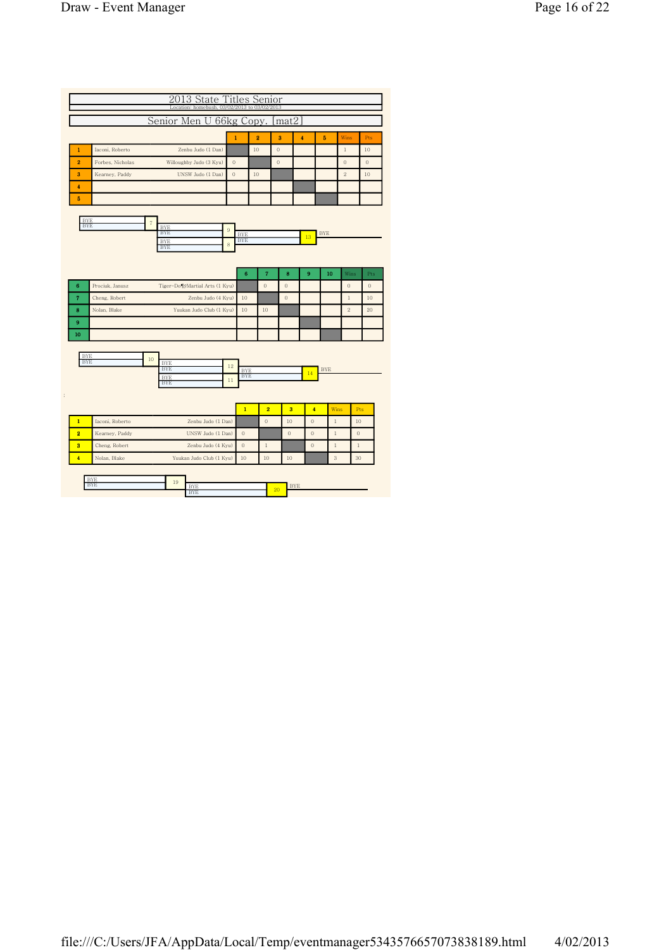|                          |                  |            |                          | Senior Men U                   |                    |              |                          | 66kg Copy.              |                         | mat2         |                         |            |                |                  |              |
|--------------------------|------------------|------------|--------------------------|--------------------------------|--------------------|--------------|--------------------------|-------------------------|-------------------------|--------------|-------------------------|------------|----------------|------------------|--------------|
|                          |                  |            |                          |                                |                    | $\mathbf{1}$ |                          | $\overline{\mathbf{2}}$ | 3                       |              | $\ddot{\phantom{a}}$    | 5          | Wins           |                  | Pts          |
|                          | Iaconi, Roberto  |            |                          | Zenbu Judo (1 Dan)             |                    |              |                          | 10                      | $\theta$                |              |                         |            | $\,1$          |                  | 10           |
|                          | Forbes, Nicholas |            |                          | Willoughby Judo (3 Kyu)        |                    | $\theta$     |                          |                         | $\mathbf{0}$            |              |                         |            | $\theta$       |                  | $\mathbf{0}$ |
|                          | Kearney, Paddy   |            |                          | UNSW Judo (1 Dan)              |                    | $\mathbf{0}$ |                          | 10                      |                         |              |                         |            | $\overline{2}$ |                  | 10           |
|                          |                  |            |                          |                                |                    |              |                          |                         |                         |              |                         |            |                |                  |              |
|                          |                  |            |                          |                                |                    |              |                          |                         |                         |              |                         |            |                |                  |              |
|                          |                  |            |                          |                                |                    |              |                          |                         |                         |              |                         |            |                |                  |              |
| <b>BYE</b><br><b>BYE</b> |                  | $\sqrt{7}$ | <b>BYE</b>               |                                |                    |              |                          |                         |                         |              |                         |            |                |                  |              |
|                          |                  |            | <b>BYE</b><br><b>BYE</b> |                                |                    | $\,9$        | <b>BYE</b><br><b>BYE</b> |                         |                         |              | 13                      | <b>BYE</b> |                |                  |              |
|                          |                  |            | <b>BYE</b>               |                                |                    | $\,$ 8 $\,$  |                          |                         |                         |              |                         |            |                |                  |              |
|                          |                  |            |                          |                                |                    |              |                          |                         |                         |              |                         |            |                |                  |              |
|                          |                  |            |                          |                                |                    |              | $6\phantom{1}6$          | $\overline{\mathbf{r}}$ |                         | 8            | 9                       |            | 10             | Wins             |              |
|                          | Prociuk, Janusz  |            |                          | Tiger-Do¶yMartial Arts (1 Kyu) |                    |              |                          | $\overline{0}$          |                         | $\theta$     |                         |            | $\mathbf{0}$   |                  |              |
|                          | Cheng, Robert    |            |                          |                                | Zenbu Judo (4 Kyu) |              | 10                       |                         |                         | $\theta$     |                         |            | $\,1$          |                  |              |
|                          | Nolan, Blake     |            |                          | Yuukan Judo Club (1 Kyu)       |                    |              | 10                       | 10                      |                         |              |                         |            | $\overline{2}$ |                  |              |
|                          |                  |            |                          |                                |                    |              |                          |                         |                         |              |                         |            |                |                  |              |
|                          |                  |            |                          |                                |                    |              |                          |                         |                         |              |                         |            |                |                  |              |
|                          |                  |            |                          |                                |                    |              |                          |                         |                         |              |                         |            |                |                  |              |
| <b>BYE</b><br><b>BYE</b> |                  | 10         | <b>BYE</b>               |                                |                    | 12           |                          |                         |                         |              |                         |            |                |                  |              |
|                          |                  |            | <b>BYE</b><br><b>BYE</b> |                                |                    |              | <b>BYE</b><br><b>BYE</b> |                         |                         |              | 14                      | <b>BYE</b> |                |                  |              |
|                          |                  |            | <b>BYE</b>               |                                |                    | 11           |                          |                         |                         |              |                         |            |                |                  |              |
|                          |                  |            |                          |                                |                    |              |                          |                         |                         |              |                         |            |                |                  |              |
|                          |                  |            |                          |                                |                    |              | $\mathbf{1}$             |                         | $\overline{\mathbf{2}}$ | 3            | $\overline{\mathbf{4}}$ |            | Wins           | Pts              |              |
|                          | Iaconi, Roberto  |            |                          |                                | Zenbu Judo (1 Dan) |              |                          | $\theta$                |                         | 10           | $\overline{0}$          |            | $\,1$          | 10               |              |
|                          | Kearney, Paddy   |            |                          |                                | UNSW Judo (1 Dan)  |              | $\theta$                 |                         |                         | $\mathbf{0}$ | $\circ$                 |            | 1              | $\boldsymbol{0}$ |              |
|                          | Cheng, Robert    |            |                          |                                | Zenbu Judo (4 Kyu) |              | $\theta$                 | $\,1$                   |                         |              | $\theta$                |            | $\,1$          | $\,1$            |              |
|                          | Nolan, Blake     |            |                          | Yuukan Judo Club (1 Kyu)       |                    |              | 10                       | 10                      |                         | 10           |                         |            | 3              | 30               |              |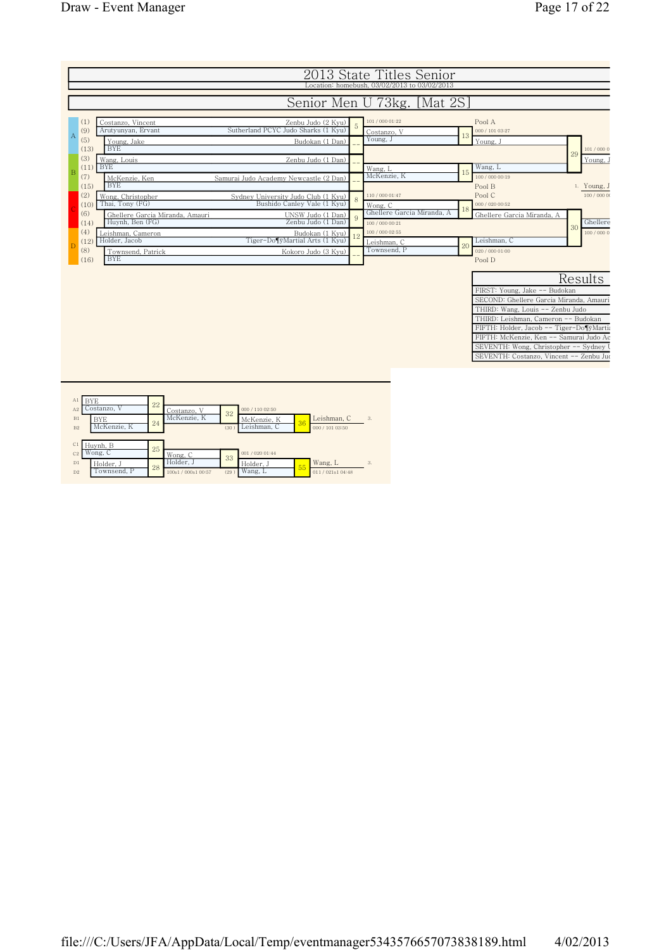

|                |             |    | -----------         |      |                 |    |                 |    |
|----------------|-------------|----|---------------------|------|-----------------|----|-----------------|----|
| B1             | BYE         | 24 | McKenzie. K         | 32   | McKenzie. K     | 36 | Leishman, C     | 3. |
| B <sub>2</sub> | McKenzie. K |    |                     | (30) | Leishman, C     |    | 000 / 101 03:50 |    |
|                |             |    |                     |      |                 |    |                 |    |
| C1             | Huynh, B    | 25 |                     |      |                 |    |                 |    |
| C <sub>2</sub> | Wong. C     |    | Wong, C             | 33   | 001 / 020 01:44 |    |                 |    |
| D1             | Holder, J   | 28 | Holder, J           |      | Holder, J       | 55 | Wang, L         | 3. |
| D <sub>2</sub> | Townsend, P |    | 100s1 / 000s1 00:57 | (29) | Wang, L         |    | 011/021s104:48  |    |
|                |             |    |                     |      |                 |    |                 |    |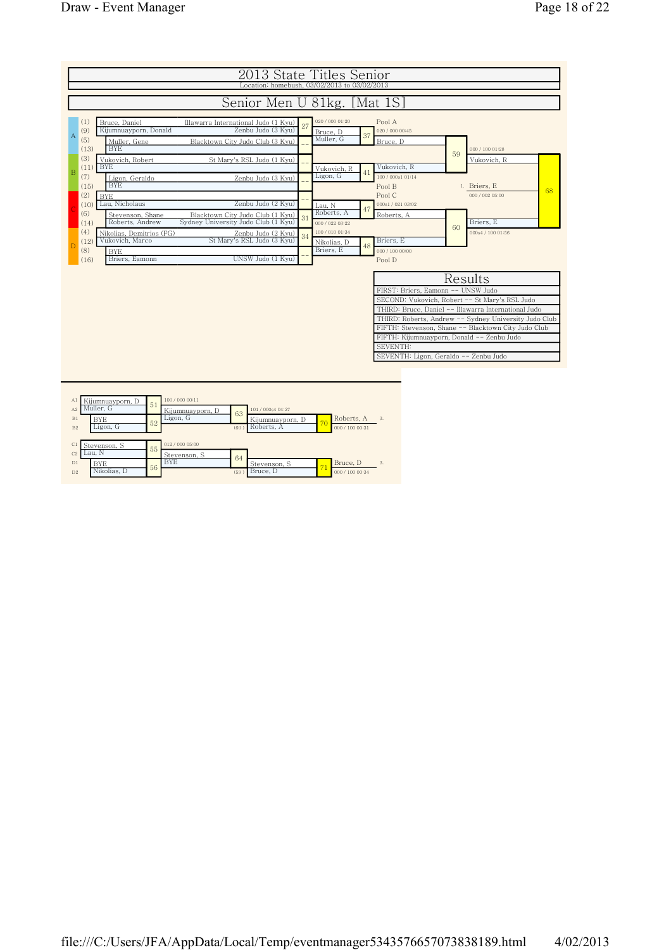|                                                                   | 2013 State Titles Senior                                                |    |                                             |    |                                                                                                                                                                                                                                                                                                                                                                 |    |                   |    |
|-------------------------------------------------------------------|-------------------------------------------------------------------------|----|---------------------------------------------|----|-----------------------------------------------------------------------------------------------------------------------------------------------------------------------------------------------------------------------------------------------------------------------------------------------------------------------------------------------------------------|----|-------------------|----|
|                                                                   | Location: homebush, 03/02/2013 to 03/02/2013                            |    |                                             |    |                                                                                                                                                                                                                                                                                                                                                                 |    |                   |    |
|                                                                   | Senior Men U 81kg. [Mat 1S]                                             |    |                                             |    |                                                                                                                                                                                                                                                                                                                                                                 |    |                   |    |
| (1)<br>Bruce, Daniel<br>Kijumnuayporn, Donald<br>(9)<br>Α         | Illawarra International Judo (1 Kyu)<br>Zenbu Judo (3 Kyu)              |    | 020 / 000 01:20<br>Bruce, D                 | 37 | Pool A<br>020 / 000 00:45                                                                                                                                                                                                                                                                                                                                       |    |                   |    |
| (5)<br>Muller, Gene<br><b>BYE</b><br>(13)                         | Blacktown City Judo Club (3 Kyu)                                        |    | Muller, G                                   |    | Bruce, D                                                                                                                                                                                                                                                                                                                                                        |    | 000 / 100 01:28   |    |
| (3)<br>Vukovich, Robert<br><b>BYE</b>                             | St Mary's RSL Judo (1 Kyu)                                              |    |                                             |    | Vukovich, R                                                                                                                                                                                                                                                                                                                                                     | 59 | Vukovich, R       |    |
| (11)<br>B<br>(7)<br>Ligon, Geraldo<br><b>BYE</b><br>(15)          | Zenbu Judo (3 Kyu)                                                      |    | Vukovich, R<br>Ligon, G                     | 41 | 100 / 000s1 01:14<br>Pool B                                                                                                                                                                                                                                                                                                                                     |    | 1. Briers, E      |    |
| (2)<br><b>BYE</b><br>Lau, Nicholaus<br>(10)                       | Zenbu Judo (2 Kyu)                                                      |    | Lau, N                                      |    | Pool C<br>000s1/021 03:02                                                                                                                                                                                                                                                                                                                                       |    | 000 / 002 05:00   | 68 |
| (6)<br>Stevenson, Shane<br>Roberts, Andrew<br>(14)                | Blacktown City Judo Club (1 Kyu)<br>Sydney University Judo Club (1 Kyu) |    | Roberts, A<br>000 / 022 03:22               | 47 | Roberts, A                                                                                                                                                                                                                                                                                                                                                      | 60 | Briers, E         |    |
| (4)<br>Nikolias, Demitrios (FG)<br>Vukovich, Marco<br>(12)<br>(8) | Zenbu Judo (2 Kyu)<br>St Mary's RSL Judo (3 Kyu)                        | 34 | 100 / 010 01:34<br>Nikolias, D<br>Briers, E | 48 | Briers. E<br>000 / 100 00:00                                                                                                                                                                                                                                                                                                                                    |    | 000s4 / 100 01:56 |    |
| <b>BYE</b><br>Briers, Eamonn<br>(16)                              | UNSW Judo (1 Kyu)                                                       |    |                                             |    | Pool D                                                                                                                                                                                                                                                                                                                                                          |    |                   |    |
|                                                                   |                                                                         |    |                                             |    | FIRST: Briers, Eamonn -- UNSW Judo<br>SECOND: Vukovich, Robert -- St Mary's RSL Judo<br>THIRD: Bruce, Daniel -- Illawarra International Judo<br>THIRD: Roberts, Andrew -- Sydney University Judo Club<br>FIFTH: Stevenson, Shane -- Blacktown City Judo Club<br>FIFTH: Kijumnuayporn, Donald -- Zenbu Judo<br>SEVENTH:<br>SEVENTH: Ligon, Geraldo -- Zenbu Judo |    | Results           |    |
|                                                                   |                                                                         |    |                                             |    |                                                                                                                                                                                                                                                                                                                                                                 |    |                   |    |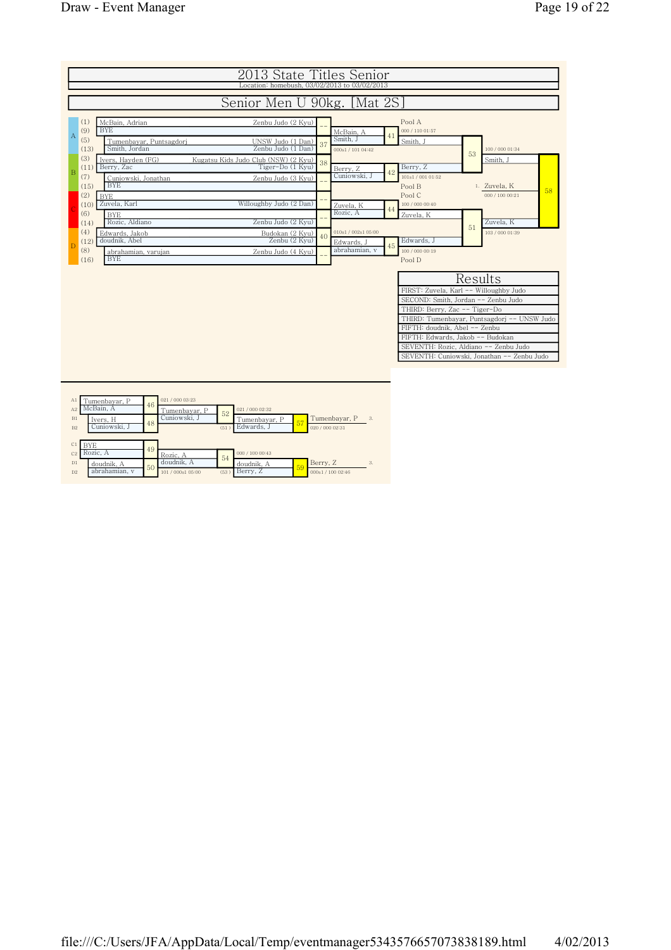

| A1             | `umenbayar, P | 46 | 021/000 03:23     |      |                 |    |                 |               |
|----------------|---------------|----|-------------------|------|-----------------|----|-----------------|---------------|
| A2             | McBain, A     |    | Tumenbavar. P     | 52   | 021 / 000 02:32 |    |                 |               |
| B1             | Ivers, H      | 48 | Cuniowski, J      |      | Tumenbavar. P   | 57 | Tumenbayar, P   | $\mathcal{S}$ |
| B <sub>2</sub> | Cuniowski, J  |    |                   | (51) | Edwards. J      |    | 020 / 000 02:31 |               |
|                |               |    |                   |      |                 |    |                 |               |
|                |               |    |                   |      |                 |    |                 |               |
| C1             | <b>BYE</b>    |    |                   |      |                 |    |                 |               |
| C <sub>2</sub> | Rozic. A      | 49 | Rozic. A          |      | 000 / 100 00:43 |    |                 |               |
| D1             | doudnik. A    |    | doudnik. A        | 54   | doudnik. A      |    | Berry, Z        | 3.            |
| D <sub>2</sub> | abrahamian, v | 50 | 101 / 000s1 05:00 | (53) | Berry, Z        | 59 | 000s1/10002:46  |               |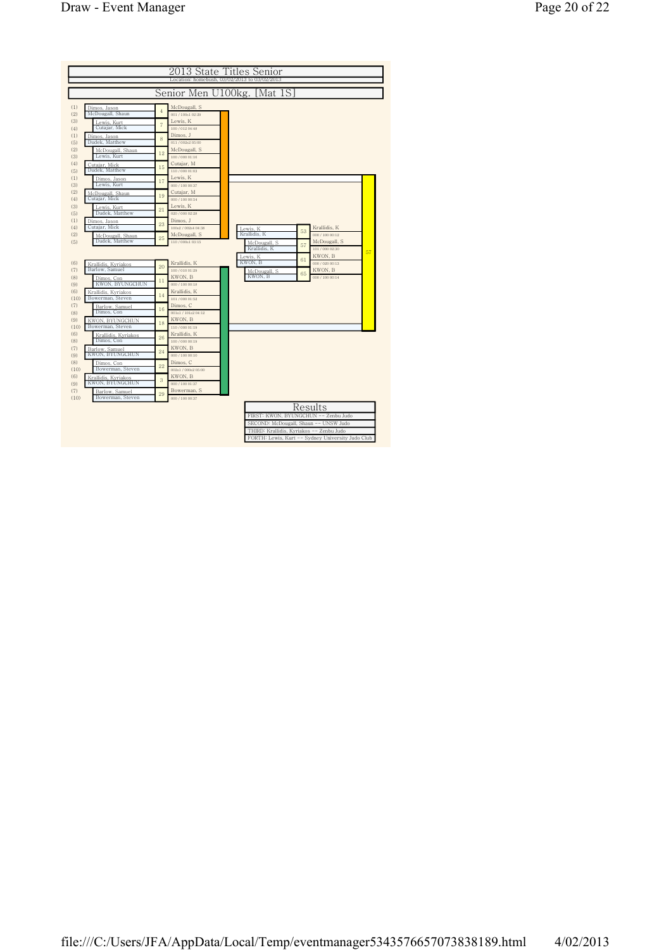|                                                                                                                                                                                                                                                                                                                                                                                                                                                                                                  | 2013 State Titles Senior                                                                                                                                                                                                                                                                                                                                                                                                                                                                                            |  |
|--------------------------------------------------------------------------------------------------------------------------------------------------------------------------------------------------------------------------------------------------------------------------------------------------------------------------------------------------------------------------------------------------------------------------------------------------------------------------------------------------|---------------------------------------------------------------------------------------------------------------------------------------------------------------------------------------------------------------------------------------------------------------------------------------------------------------------------------------------------------------------------------------------------------------------------------------------------------------------------------------------------------------------|--|
|                                                                                                                                                                                                                                                                                                                                                                                                                                                                                                  | Location: homebush, 03/02/2013 to 03/02/2013                                                                                                                                                                                                                                                                                                                                                                                                                                                                        |  |
|                                                                                                                                                                                                                                                                                                                                                                                                                                                                                                  | Senior Men U100kg. [Mat 1S]                                                                                                                                                                                                                                                                                                                                                                                                                                                                                         |  |
| (1)<br>Dimos, Jason<br>McDougall, Shaun<br>(2)<br>(3)<br>Lewis, Kurt<br>Cutajar, Mick<br>(4)<br>(1)<br>Dimos, Jason<br>Dudek, Matthew<br>(5)<br>(2)<br>McDougall, Shaun<br>Lewis, Kurt<br>(3)<br>(4)<br>Cutajar, Mick<br>Dudek, Matthew<br>(5)<br>(1)<br>Dimos, Jason<br>Lewis, Kurt<br>(3)<br>(2)<br>McDougall, Shaun<br>Cutajar, Mick<br>(4)<br>(3)<br>Lewis, Kurt<br>Dudek, Matthew<br>(5)<br>(1)<br>Dimos, Jason<br>Cutajar, Mick<br>(4)<br>(2)<br>McDougall, Shaun<br>Dudek, Matthew<br>(5) | McDougall, S<br>4<br>001/100s102:29<br>Lewis, K<br>$\overline{7}$<br>100 / 012 04:48<br>Dimos. J<br>8<br>011/002s2 05:00<br>McDougall, S<br>12<br>100 / 000 01:16<br>Cutajar, M<br>15<br>110/000 01:03<br>Lewis, K<br>17<br>000 / 100 00:37<br>Cutajar, M<br>19<br>000 / 100 00:54<br>Lewis, K<br>21<br>020 / 000 02:28<br>Dimos, J<br>23<br>100s2 / 002s4 04:38<br>Krallidis, K<br>Lewis, K<br>53<br>Krallidis, K<br>000 / 100 00:12<br>McDougall, S<br>25<br>110/000s103:15<br>McDougall, S<br>McDougall, S<br>57 |  |
| (6)<br>Krallidis, Kyriakos<br>Barlow, Samuel<br>(7)<br>(8)<br>Dimos, Con<br>KWON, BYUNGCHUN<br>(9)<br>(6)<br>Krallidis, Kyriakos<br>Bowerman, Steven<br>(10)<br>(7)<br>Barlow, Samuel<br>Dimos, Con<br>(8)<br>(9)<br>KWON, BYUNGCHUN                                                                                                                                                                                                                                                             | Krallidis, K<br>101 / 000 02:30<br>57<br>KWON, B<br>Lewis, K<br>61<br>KWON, B<br>000 / 020 00:13<br>Krallidis, K<br>20<br>100/010 01:29<br>KWON, B<br>McDougall, S<br>65<br>KWON, B<br>KWON, B<br>000 / 100 00:14<br>11<br>000 / 100 00:18<br>Krallidis, K<br>14<br>101/000 01:52<br>Dimos, C<br>16<br>001s1 / 101s2 04:12<br>KWON, B<br>18                                                                                                                                                                         |  |
| Bowerman, Steven<br>(10)<br>(6)<br>Krallidis, Kyriakos<br>Dimos, Con<br>(8)<br>(7)<br>Barlow, Samuel<br>KWON, BYUNGCHUN<br>(9)<br>(8)<br>Dimos. Con<br>Bowerman, Steven<br>(10)<br>(6)<br>Krallidis, Kyriakos<br>KWON, BYUNGCHUN<br>(9)<br>(7)<br>Barlow, Samuel                                                                                                                                                                                                                                 | 110/000 01:19<br>Krallidis, K<br>26<br>100 / 000 00:19<br>KWON, B<br>24<br>000 / 100 00:10<br>Dimos. C<br>22<br>002s1 / 000s2 05:00<br>KWON, B<br>3<br>000 / 100 01:37<br>Bowerman, S<br>29                                                                                                                                                                                                                                                                                                                         |  |
| Bowerman, Steven<br>(10)                                                                                                                                                                                                                                                                                                                                                                                                                                                                         | 000 / 100 00:37<br>Results<br>FIRST: KWON, BYUNGCHUN -- Zenbu Judo<br>SECOND: McDougall, Shaun -- UNSW Judo<br>THIRD: Krallidis, Kyriakos -- Zenbu Judo<br>FORTH: Lewis, Kurt -- Sydney University Judo Club                                                                                                                                                                                                                                                                                                        |  |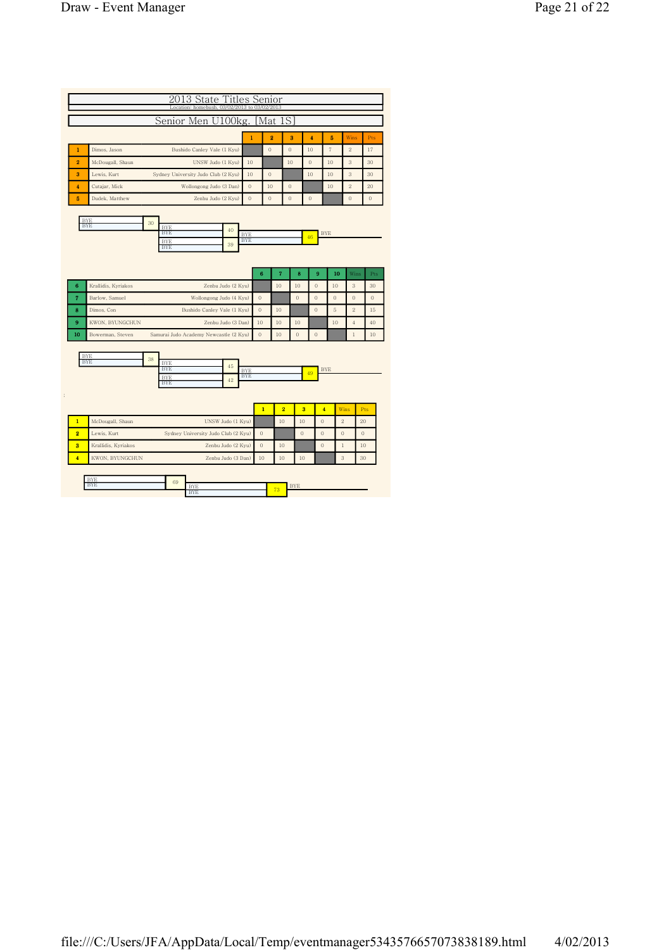|                         |                                 |    | Location: homebush, 03/02/2013 to 03/02/2013 |                                |                                  |                    |                      |              |                |                                |                                               |
|-------------------------|---------------------------------|----|----------------------------------------------|--------------------------------|----------------------------------|--------------------|----------------------|--------------|----------------|--------------------------------|-----------------------------------------------|
|                         |                                 |    | Senior Men U100kg.                           |                                |                                  | Mat                | 1S                   |              |                |                                |                                               |
|                         |                                 |    |                                              |                                |                                  |                    |                      |              |                |                                |                                               |
|                         |                                 |    |                                              |                                | $\mathbf{1}$                     | $\overline{2}$     | 3                    | 4            | 5              | <b>Wins</b>                    | Pts                                           |
| 1                       | Dimos, Jason                    |    | Bushido Canley Vale (1 Kyu)                  |                                |                                  | $\theta$           | $\theta$             | 10           | $\overline{7}$ | $\overline{2}$                 | 17                                            |
| $\overline{2}$          | McDougall, Shaun                |    | UNSW Judo (1 Kyu)                            |                                | 10                               |                    | 10                   | $\mathbf{0}$ | 10             | 3<br>3                         | 30                                            |
| 3                       | Lewis, Kurt                     |    | Sydney University Judo Club (2 Kyu)          | 10                             | $\theta$                         |                    | 10                   | 10           |                | 30                             |                                               |
| $\overline{\mathbf{4}}$ | Cutajar, Mick<br>Dudek, Matthew |    | Wollongong Judo (3 Dan)                      |                                | $\overline{0}$<br>$\overline{0}$ | 10<br>$\mathbf{0}$ | $\theta$<br>$\theta$ | $\mathbf{0}$ | 10             | $\overline{2}$<br>$\mathbf{0}$ | 20<br>$\mathbf{0}$                            |
| 5                       |                                 |    | Zenbu Judo (2 Kyu)                           |                                |                                  |                    |                      |              |                |                                |                                               |
|                         | <b>BYE</b>                      | 30 |                                              |                                |                                  |                    |                      |              |                |                                |                                               |
|                         | <b>BYE</b>                      |    | <b>BYE</b><br><b>BYE</b>                     | 40<br><b>BYE</b>               |                                  |                    |                      |              | <b>BYE</b>     |                                |                                               |
|                         |                                 |    | <b>BYE</b><br><b>BYE</b>                     | <b>BYE</b><br>39               |                                  |                    |                      | 46           |                |                                |                                               |
|                         |                                 |    |                                              |                                |                                  |                    |                      |              |                |                                |                                               |
|                         |                                 |    |                                              |                                |                                  |                    |                      |              |                |                                |                                               |
|                         |                                 |    |                                              |                                |                                  |                    |                      |              |                |                                |                                               |
|                         |                                 |    |                                              |                                | 6                                | $\overline{7}$     | 8                    | 9            | 10             | Wins                           |                                               |
| 6                       | Krallidis, Kyriakos             |    |                                              | Zenbu Judo (2 Kyu)             |                                  | 10                 | 10                   | $\theta$     | 10             | 3                              |                                               |
| $\overline{7}$          | Barlow, Samuel                  |    | Wollongong Judo (4 Kyu)                      |                                | $\theta$                         |                    | $\mathbf{0}$         | $\theta$     | $\mathbf{0}$   | $\theta$                       |                                               |
| 8                       | Dimos, Con                      |    | Bushido Canley Vale (1 Kyu)                  |                                | $\theta$                         | 10                 |                      | $\theta$     | 5              | $\overline{2}$                 |                                               |
| 9                       | KWON, BYUNGCHUN                 |    |                                              | Zenbu Judo (3 Dan)             | 10                               | 10                 | 10                   |              | 10             | $\overline{4}$                 |                                               |
| 10                      | Bowerman, Steven                |    | Samurai Judo Academy Newcastle (2 Kyu)       |                                | $\theta$                         | 10                 | $\mathbf{0}$         | $\theta$     |                | $\,1$                          |                                               |
|                         |                                 |    |                                              |                                |                                  |                    |                      |              |                |                                |                                               |
|                         | <b>BYE</b><br><b>BYE</b>        | 38 | <b>BYE</b>                                   |                                |                                  |                    |                      |              |                |                                |                                               |
|                         |                                 |    | <b>BYE</b>                                   | 45<br><b>BYE</b><br><b>BYE</b> |                                  |                    |                      | 49           | <b>BYE</b>     |                                |                                               |
|                         |                                 |    | <b>BYE</b><br><b>BYE</b>                     | 42                             |                                  |                    |                      |              |                |                                |                                               |
|                         |                                 |    |                                              |                                |                                  |                    |                      |              |                |                                |                                               |
|                         |                                 |    |                                              |                                | $\mathbf{1}$                     | $\overline{2}$     |                      | 3            | $\overline{4}$ | Wins                           | Pts                                           |
| $\overline{1}$          | McDougall, Shaun                |    |                                              | UNSW Judo (1 Kyu)              |                                  | 10                 | 10                   |              | $\overline{0}$ | $\overline{2}$                 | 20                                            |
| $\overline{2}$          | Lewis, Kurt                     |    | Sydney University Judo Club (2 Kyu)          |                                | $\mathbf{0}$                     |                    | $\theta$             |              | $\mathbf{0}$   | $\mathbf{0}$                   | $\overline{0}$                                |
| $\overline{\mathbf{3}}$ | Krallidis, Kyriakos             |    |                                              | Zenbu Judo (2 Kyu)             | $\theta$                         | 10                 |                      |              | $\overline{0}$ | $\mathbf{1}$                   | Pts<br>30<br>$\Omega$<br>15<br>40<br>10<br>10 |

| .       | 69 |   |   |  |
|---------|----|---|---|--|
| 12 I IS |    | . | - |  |
|         |    | . |   |  |